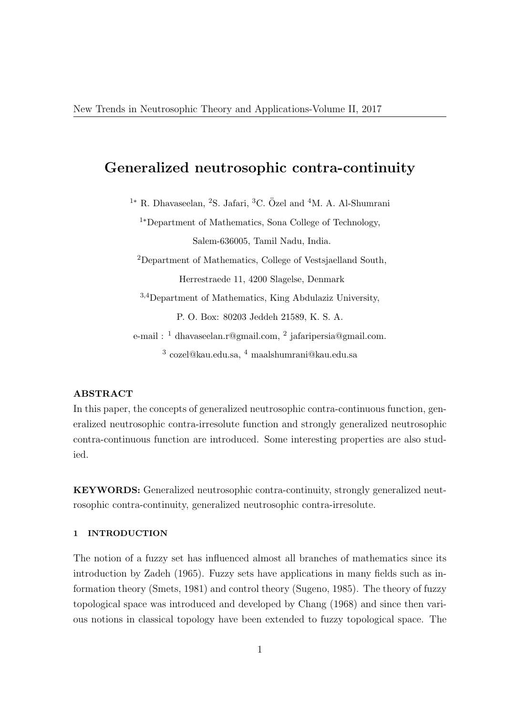# Generalized neutrosophic contra-continuity

 $1*$  R. Dhavaseelan, <sup>2</sup>S. Jafari, <sup>3</sup>C. Özel and <sup>4</sup>M. A. Al-Shumrani <sup>1</sup>∗Department of Mathematics, Sona College of Technology, Salem-636005, Tamil Nadu, India. <sup>2</sup>Department of Mathematics, College of Vestsjaelland South, Herrestraede 11, 4200 Slagelse, Denmark <sup>3</sup>,4Department of Mathematics, King Abdulaziz University, P. O. Box: 80203 Jeddeh 21589, K. S. A. e-mail : <sup>1</sup> dhavaseelan.r@gmail.com, <sup>2</sup> jafaripersia@gmail.com.

 $^3$  cozel@kau.edu.sa,  $^4$  maalshumrani@kau.edu.sa

## ABSTRACT

In this paper, the concepts of generalized neutrosophic contra-continuous function, generalized neutrosophic contra-irresolute function and strongly generalized neutrosophic contra-continuous function are introduced. Some interesting properties are also studied.

KEYWORDS: Generalized neutrosophic contra-continuity, strongly generalized neutrosophic contra-continuity, generalized neutrosophic contra-irresolute.

## 1 INTRODUCTION

The notion of a fuzzy set has influenced almost all branches of mathematics since its introduction by Zadeh (1965). Fuzzy sets have applications in many fields such as information theory (Smets, 1981) and control theory (Sugeno, 1985). The theory of fuzzy topological space was introduced and developed by Chang (1968) and since then various notions in classical topology have been extended to fuzzy topological space. The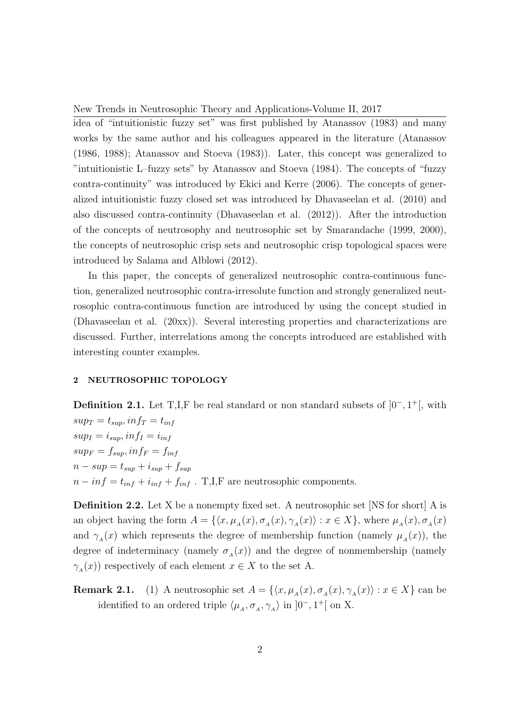idea of "intuitionistic fuzzy set" was first published by Atanassov (1983) and many works by the same author and his colleagues appeared in the literature (Atanassov (1986, 1988); Atanassov and Stoeva (1983)). Later, this concept was generalized to "intuitionistic L–fuzzy sets" by Atanassov and Stoeva (1984). The concepts of "fuzzy contra-continuity" was introduced by Ekici and Kerre (2006). The concepts of generalized intuitionistic fuzzy closed set was introduced by Dhavaseelan et al. (2010) and also discussed contra-continuity (Dhavaseelan et al. (2012)). After the introduction of the concepts of neutrosophy and neutrosophic set by Smarandache (1999, 2000), the concepts of neutrosophic crisp sets and neutrosophic crisp topological spaces were introduced by Salama and Alblowi (2012).

In this paper, the concepts of generalized neutrosophic contra-continuous function, generalized neutrosophic contra-irresolute function and strongly generalized neutrosophic contra-continuous function are introduced by using the concept studied in (Dhavaseelan et al. (20xx)). Several interesting properties and characterizations are discussed. Further, interrelations among the concepts introduced are established with interesting counter examples.

## 2 NEUTROSOPHIC TOPOLOGY

**Definition 2.1.** Let T,I,F be real standard or non standard subsets of  $]0^-, 1^+[$ , with  $sup_T = t_{sup}, inf_T = t_{inf}$  $sup_I = i_{sup}, inf_I = i_{inf}$  $sup_F = f_{sup}$ ,  $inf_F = f_{inf}$  $n - sup = t_{sup} + i_{sup} + f_{sup}$  $n - inf = t_{inf} + i_{inf} + f_{inf}$ . T,I,F are neutrosophic components.

Definition 2.2. Let X be a nonempty fixed set. A neutrosophic set [NS for short] A is an object having the form  $A = \{ \langle x, \mu_A(x), \sigma_A(x), \gamma_A(x) \rangle : x \in X \}$ , where  $\mu_A(x), \sigma_A(x)$ and  $\gamma_A(x)$  which represents the degree of membership function (namely  $\mu_A(x)$ ), the degree of indeterminacy (namely  $\sigma_A(x)$ ) and the degree of nonmembership (namely  $\gamma_A(x)$  respectively of each element  $x \in X$  to the set A.

**Remark 2.1.** (1) A neutrosophic set  $A = \{ \langle x, \mu_A(x), \sigma_A(x), \gamma_A(x) \rangle : x \in X \}$  can be identified to an ordered triple  $\langle \mu_A, \sigma_A, \gamma_A \rangle$  in  $]0^-, 1^+[$  on X.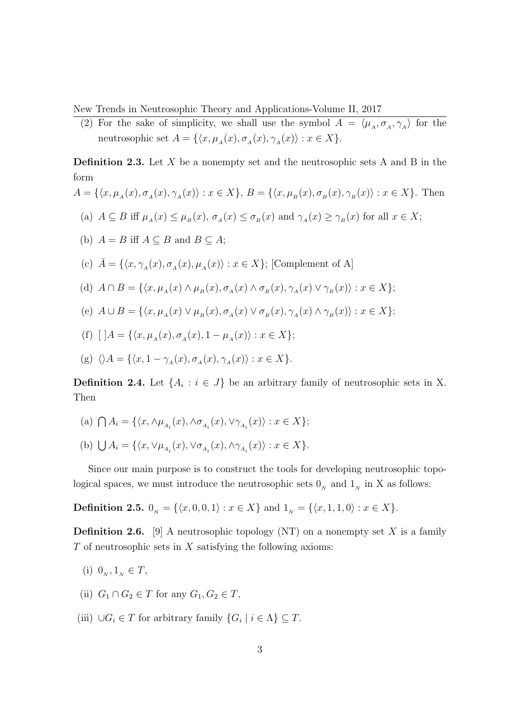(2) For the sake of simplicity, we shall use the symbol  $A = \langle \mu_A, \sigma_A, \gamma_A \rangle$  for the neutrosophic set  $A = \{ \langle x, \mu_A(x), \sigma_A(x), \gamma_A(x) \rangle : x \in X \}.$ 

**Definition 2.3.** Let  $X$  be a nonempty set and the neutrosophic sets  $A$  and  $B$  in the form

$$
A = \{\langle x, \mu_A(x), \sigma_A(x), \gamma_A(x) \rangle : x \in X\}, B = \{\langle x, \mu_B(x), \sigma_B(x), \gamma_B(x) \rangle : x \in X\}.
$$
 Then  
\n(a)  $A \subseteq B$  iff  $\mu_A(x) \le \mu_B(x), \sigma_A(x) \le \sigma_B(x)$  and  $\gamma_A(x) \ge \gamma_B(x)$  for all  $x \in X$ ;  
\n(b)  $A = B$  iff  $A \subseteq B$  and  $B \subseteq A$ ;  
\n(c)  $\bar{A} = \{\langle x, \gamma_A(x), \sigma_A(x), \mu_A(x) \rangle : x \in X\}$ ; [Complement of A]  
\n(d)  $A \cap B = \{\langle x, \mu_A(x) \land \mu_B(x), \sigma_A(x) \land \sigma_B(x), \gamma_A(x) \lor \gamma_B(x) \rangle : x \in X\}$ ;  
\n(e)  $A \cup B = \{\langle x, \mu_A(x) \lor \mu_B(x), \sigma_A(x) \lor \sigma_B(x), \gamma_A(x) \land \gamma_B(x) \rangle : x \in X\}$ ;  
\n(f)  $[A = \{\langle x, \mu_A(x), \sigma_A(x), 1 - \mu_A(x) \rangle : x \in X\}$ ;  
\n(g)  $\langle \rangle A = \{\langle x, 1 - \gamma_A(x), \sigma_A(x), \gamma_A(x) \rangle : x \in X\}$ .

**Definition 2.4.** Let  $\{A_i : i \in J\}$  be an arbitrary family of neutrosophic sets in X. Then

- (a)  $\bigcap A_i = \{ \langle x, \wedge \mu_{A_i}(x), \wedge \sigma_{A_i}(x), \vee \gamma_{A_i}(x) \rangle : x \in X \};$
- (b)  $\bigcup A_i = \{ \langle x, \vee \mu_{A_i}(x), \vee \sigma_{A_i}(x), \wedge \gamma_{A_i}(x) \rangle : x \in X \}.$

Since our main purpose is to construct the tools for developing neutrosophic topological spaces, we must introduce the neutrosophic sets  $0<sub>N</sub>$  and  $1<sub>N</sub>$  in X as follows:

**Definition 2.5.**  $0_N = \{\langle x, 0, 0, 1 \rangle : x \in X\}$  and  $1_N = \{\langle x, 1, 1, 0 \rangle : x \in X\}.$ 

**Definition 2.6.** [9] A neutrosophic topology (NT) on a nonempty set X is a family  $T$  of neutrosophic sets in  $X$  satisfying the following axioms:

- (i)  $0_N, 1_N \in T$ ,
- (ii)  $G_1 \cap G_2 \in T$  for any  $G_1, G_2 \in T$ ,
- (iii)  $\bigcup G_i \in T$  for arbitrary family  $\{G_i \mid i \in \Lambda\} \subseteq T$ .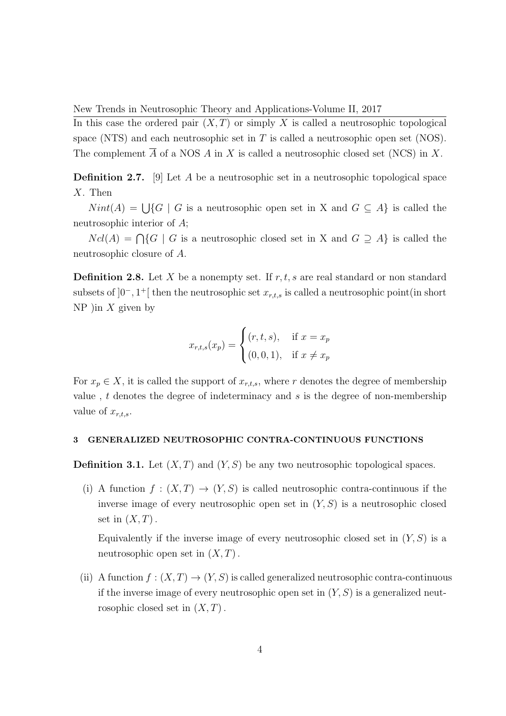In this case the ordered pair  $(X, T)$  or simply X is called a neutrosophic topological space (NTS) and each neutrosophic set in  $T$  is called a neutrosophic open set (NOS). The complement  $\overline{A}$  of a NOS A in X is called a neutrosophic closed set (NCS) in X.

Definition 2.7. [9] Let A be a neutrosophic set in a neutrosophic topological space X. Then

 $Nint(A) = \bigcup \{G \mid G$  is a neutrosophic open set in X and  $G \subseteq A\}$  is called the neutrosophic interior of A;

 $Ncl(A) = \bigcap \{G \mid G$  is a neutrosophic closed set in X and  $G \supseteq A\}$  is called the neutrosophic closure of A.

**Definition 2.8.** Let X be a nonempty set. If  $r, t, s$  are real standard or non standard subsets of  $]0^-, 1^+[$  then the neutrosophic set  $x_{r,t,s}$  is called a neutrosophic point(in short NP )in  $X$  given by

$$
x_{r,t,s}(x_p) = \begin{cases} (r,t,s), & \text{if } x = x_p \\ (0,0,1), & \text{if } x \neq x_p \end{cases}
$$

For  $x_p \in X$ , it is called the support of  $x_{r,t,s}$ , where r denotes the degree of membership value , t denotes the degree of indeterminacy and s is the degree of non-membership value of  $x_{r,t,s}$ .

## 3 GENERALIZED NEUTROSOPHIC CONTRA-CONTINUOUS FUNCTIONS

**Definition 3.1.** Let  $(X, T)$  and  $(Y, S)$  be any two neutrosophic topological spaces.

(i) A function  $f:(X,T) \to (Y,S)$  is called neutrosophic contra-continuous if the inverse image of every neutrosophic open set in  $(Y, S)$  is a neutrosophic closed set in  $(X, T)$ .

Equivalently if the inverse image of every neutrosophic closed set in  $(Y, S)$  is a neutrosophic open set in  $(X, T)$ .

(ii) A function  $f:(X,T) \to (Y,S)$  is called generalized neutrosophic contra-continuous if the inverse image of every neutrosophic open set in  $(Y, S)$  is a generalized neutrosophic closed set in  $(X, T)$ .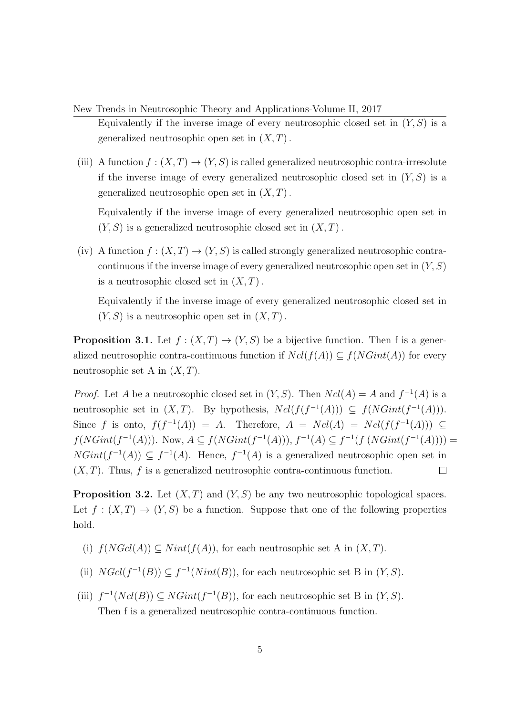- New Trends in Neutrosophic Theory and Applications-Volume II, 2017 Equivalently if the inverse image of every neutrosophic closed set in  $(Y, S)$  is a generalized neutrosophic open set in  $(X, T)$ .
- (iii) A function  $f : (X,T) \to (Y,S)$  is called generalized neutrosophic contra-irresolute if the inverse image of every generalized neutrosophic closed set in  $(Y, S)$  is a generalized neutrosophic open set in  $(X, T)$ .

Equivalently if the inverse image of every generalized neutrosophic open set in  $(Y, S)$  is a generalized neutrosophic closed set in  $(X, T)$ .

(iv) A function  $f : (X,T) \to (Y,S)$  is called strongly generalized neutrosophic contracontinuous if the inverse image of every generalized neutrosophic open set in  $(Y, S)$ is a neutrosophic closed set in  $(X, T)$ .

Equivalently if the inverse image of every generalized neutrosophic closed set in  $(Y, S)$  is a neutrosophic open set in  $(X, T)$ .

**Proposition 3.1.** Let  $f : (X,T) \to (Y,S)$  be a bijective function. Then f is a generalized neutrosophic contra-continuous function if  $Ncl(f(A)) \subseteq f(NGint(A))$  for every neutrosophic set A in  $(X, T)$ .

*Proof.* Let A be a neutrosophic closed set in  $(Y, S)$ . Then  $Ncl(A) = A$  and  $f^{-1}(A)$  is a neutrosophic set in  $(X, T)$ . By hypothesis,  $Ncl(f(f^{-1}(A))) \subseteq f(NGint(f^{-1}(A)))$ . Since f is onto,  $f(f^{-1}(A)) = A$ . Therefore,  $A = Ncl(A) = Ncl(f(f^{-1}(A))) \subseteq$  $f(NGint(f^{-1}(A)))$ . Now,  $A \subseteq f(NGint(f^{-1}(A))), f^{-1}(A) \subseteq f^{-1}(f (NGint(f^{-1}(A))))$  $NGint(f^{-1}(A)) \subseteq f^{-1}(A)$ . Hence,  $f^{-1}(A)$  is a generalized neutrosophic open set in  $(X, T)$ . Thus, f is a generalized neutrosophic contra-continuous function.  $\Box$ 

**Proposition 3.2.** Let  $(X, T)$  and  $(Y, S)$  be any two neutrosophic topological spaces. Let  $f: (X,T) \to (Y,S)$  be a function. Suppose that one of the following properties hold.

- (i)  $f(NGcl(A)) \subseteq Nint(f(A))$ , for each neutrosophic set A in  $(X, T)$ .
- (ii)  $NGcl(f^{-1}(B)) \subseteq f^{-1}(Nint(B)),$  for each neutrosophic set B in  $(Y, S)$ .
- (iii)  $f^{-1}(Ncl(B)) \subseteq NGint(f^{-1}(B))$ , for each neutrosophic set B in  $(Y, S)$ . Then f is a generalized neutrosophic contra-continuous function.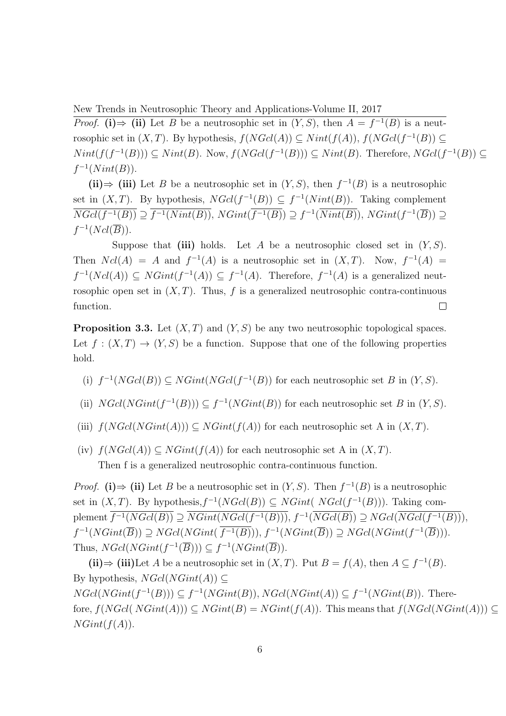*Proof.* (i)  $\Rightarrow$  (ii) Let B be a neutrosophic set in  $(Y, S)$ , then  $A = f^{-1}(B)$  is a neutrosophic set in  $(X, T)$ . By hypothesis,  $f(NGcl(A)) \subseteq Nint(f(A)), f(NGcl(f^{-1}(B)) \subseteq$  $Nint(f(f^{-1}(B)))\subseteq Nint(B)$ . Now,  $f(NGcl(f^{-1}(B)))\subseteq Nint(B)$ . Therefore,  $NGcl(f^{-1}(B))\subseteq$  $f^{-1}(Nint(B)).$ 

(ii)  $\Rightarrow$  (iii) Let B be a neutrosophic set in  $(Y, S)$ , then  $f^{-1}(B)$  is a neutrosophic set in  $(X, T)$ . By hypothesis,  $N\text{Gcl}(f^{-1}(B)) \subseteq f^{-1}(Nint(B))$ . Taking complement  $\overline{NGcl(f^{-1}(B))} \supseteq \overline{f^{-1}(Nint(B))}$ ,  $NGint(\overline{f^{-1}(B)}) \supseteq f^{-1}(\overline{Nint(B)})$ ,  $NGint(f^{-1}(\overline{B})) \supseteq$  $f^{-1}(Ncl(\overline{B})).$ 

Suppose that (iii) holds. Let A be a neutrosophic closed set in  $(Y, S)$ . Then  $Ncl(A) = A$  and  $f^{-1}(A)$  is a neutrosophic set in  $(X, T)$ . Now,  $f^{-1}(A) =$  $f^{-1}(Ncl(A)) \subseteq NGint(f^{-1}(A)) \subseteq f^{-1}(A)$ . Therefore,  $f^{-1}(A)$  is a generalized neutrosophic open set in  $(X, T)$ . Thus, f is a generalized neutrosophic contra-continuous function.  $\Box$ 

**Proposition 3.3.** Let  $(X, T)$  and  $(Y, S)$  be any two neutrosophic topological spaces. Let  $f : (X,T) \to (Y,S)$  be a function. Suppose that one of the following properties hold.

- (i)  $f^{-1}(NGcl(B)) \subseteq NGint(NGcl(f^{-1}(B))$  for each neutrosophic set B in  $(Y, S)$ .
- (ii)  $NGcl(NGint(f^{-1}(B))) \subseteq f^{-1}(NGint(B))$  for each neutrosophic set B in  $(Y, S)$ .
- (iii)  $f(NGcl(NGint(A))) \subseteq NGint(f(A))$  for each neutrosophic set A in  $(X, T)$ .
- (iv)  $f(NGcl(A)) \subseteq NGint(f(A))$  for each neutrosophic set A in  $(X, T)$ . Then f is a generalized neutrosophic contra-continuous function.

*Proof.* (i)  $\Rightarrow$  (ii) Let B be a neutrosophic set in  $(Y, S)$ . Then  $f^{-1}(B)$  is a neutrosophic set in  $(X, T)$ . By hypothesis,  $f^{-1}(NGcl(B)) \subseteq NGint( NGcl(f^{-1}(B)))$ . Taking complement  $\overline{f^{-1}(NGcl(B))} \supseteq \overline{NGint(NGcl(f^{-1}(B)))}$ ,  $f^{-1}(\overline{NGcl(B)}) \supseteq NGal(\overline{NGcl(f^{-1}(B))})$ ,  $f^{-1}(NGint(\overline{B})) \supseteq NGcl(NGint(\overline{f^{-1}(B)})), f^{-1}(NGint(\overline{B})) \supseteq NGcl(NGint(f^{-1}(\overline{B}))).$ Thus,  $NGcl(NGint(f^{-1}(\overline{B}))) \subseteq f^{-1}(NGint(\overline{B})).$ 

(ii)  $\Rightarrow$  (iii)Let A be a neutrosophic set in  $(X, T)$ . Put  $B = f(A)$ , then  $A \subseteq f^{-1}(B)$ . By hypothesis,  $NGcl(NGint(A)) \subset$  $NGcl(NGint(f^{-1}(B))) \subseteq f^{-1}(NGint(B)), NGcl(NGint(A)) \subseteq f^{-1}(NGint(B)).$  Therefore,  $f(NGcl(NGint(A))) \subseteq NGint(B) = NGint(f(A))$ . This means that  $f(NGcl(NGint(A))) \subseteq$  $NGint(f(A)).$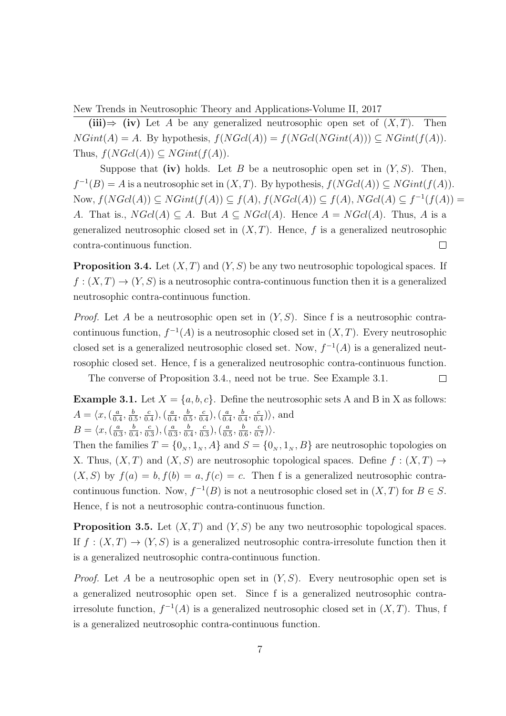(iii) $\Rightarrow$  (iv) Let A be any generalized neutrosophic open set of  $(X, T)$ . Then  $NGint(A) = A$ . By hypothesis,  $f(NGcl(A)) = f(NGcl(NGint(A))) \subseteq NGint(f(A)).$ Thus,  $f(NGcl(A)) \subset NGint(f(A)).$ 

Suppose that (iv) holds. Let B be a neutrosophic open set in  $(Y, S)$ . Then,  $f^{-1}(B) = A$  is a neutrosophic set in  $(X, T)$ . By hypothesis,  $f(NGcl(A)) \subseteq NGint(f(A))$ . Now,  $f(NGcl(A)) \subseteq NGint(f(A)) \subseteq f(A), f(NGcl(A)) \subseteq f(A), NGcl(A) \subseteq f^{-1}(f(A))$ A. That is.,  $NGcl(A) \subseteq A$ . But  $A \subseteq NGcl(A)$ . Hence  $A = NGcl(A)$ . Thus, A is a generalized neutrosophic closed set in  $(X, T)$ . Hence, f is a generalized neutrosophic contra-continuous function.  $\Box$ 

**Proposition 3.4.** Let  $(X, T)$  and  $(Y, S)$  be any two neutrosophic topological spaces. If  $f: (X,T) \to (Y,S)$  is a neutrosophic contra-continuous function then it is a generalized neutrosophic contra-continuous function.

*Proof.* Let A be a neutrosophic open set in  $(Y, S)$ . Since f is a neutrosophic contracontinuous function,  $f^{-1}(A)$  is a neutrosophic closed set in  $(X, T)$ . Every neutrosophic closed set is a generalized neutrosophic closed set. Now,  $f^{-1}(A)$  is a generalized neutrosophic closed set. Hence, f is a generalized neutrosophic contra-continuous function.

The converse of Proposition 3.4., need not be true. See Example 3.1.  $\Box$ 

**Example 3.1.** Let  $X = \{a, b, c\}$ . Define the neutrosophic sets A and B in X as follows:  $A = \langle x, (\frac{a}{a}\rangle)$  $\frac{a}{0.4}, \frac{b}{0.}$  $\frac{b}{0.5}, \frac{c}{0.}$  $\frac{c}{0.4}$ ),  $\left(\frac{a}{0.4}\right)$  $\frac{a}{0.4}, \frac{b}{0.}$  $\frac{b}{0.5}, \frac{c}{0.}$  $\frac{c}{0.4}$ ),  $\left(\frac{a}{0.4}\right)$  $\frac{a}{0.4}, \frac{b}{0.}$  $\frac{b}{0.4}, \frac{c}{0.}$  $\frac{c}{0.4}$  $\rangle$ , and

 $B = \langle x, (\frac{a}{a}) \rangle$  $\frac{a}{0.3}, \frac{b}{0.}$  $\frac{b}{0.4}, \frac{c}{0.}$  $\frac{c}{0.3}$ ),  $\left(\frac{a}{0.3}\right)$  $\frac{a}{0.3}, \frac{b}{0.}$  $\frac{b}{0.4}, \frac{c}{0.}$  $\left(\frac{c}{0.3}\right), \left(\frac{a}{0.3}\right)$  $\frac{a}{0.5}, \frac{b}{0.}$  $\frac{b}{0.6}, \frac{c}{0.}$  $\frac{c}{0.7})\rangle.$ 

Then the families  $T = \{0_N, 1_N, A\}$  and  $S = \{0_N, 1_N, B\}$  are neutrosophic topologies on X. Thus,  $(X, T)$  and  $(X, S)$  are neutrosophic topological spaces. Define  $f : (X, T) \rightarrow$  $(X, S)$  by  $f(a) = b, f(b) = a, f(c) = c$ . Then f is a generalized neutrosophic contracontinuous function. Now,  $f^{-1}(B)$  is not a neutrosophic closed set in  $(X,T)$  for  $B \in S$ . Hence, f is not a neutrosophic contra-continuous function.

**Proposition 3.5.** Let  $(X, T)$  and  $(Y, S)$  be any two neutrosophic topological spaces. If  $f : (X,T) \to (Y,S)$  is a generalized neutrosophic contra-irresolute function then it is a generalized neutrosophic contra-continuous function.

*Proof.* Let A be a neutrosophic open set in  $(Y, S)$ . Every neutrosophic open set is a generalized neutrosophic open set. Since f is a generalized neutrosophic contrairresolute function,  $f^{-1}(A)$  is a generalized neutrosophic closed set in  $(X, T)$ . Thus, f is a generalized neutrosophic contra-continuous function.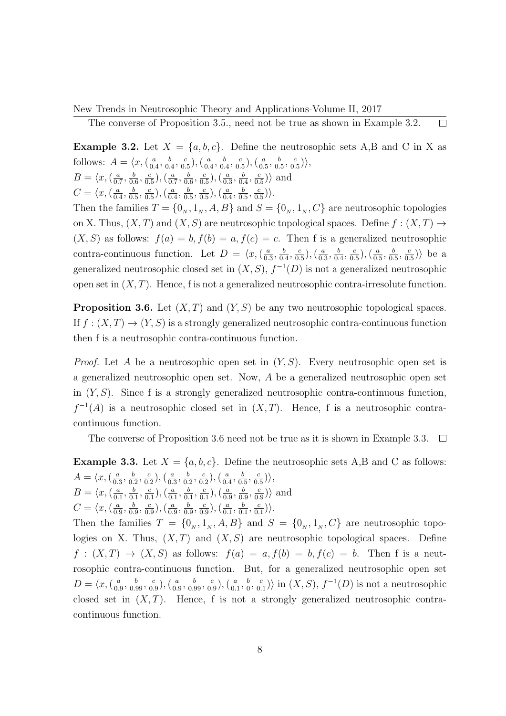The converse of Proposition 3.5., need not be true as shown in Example 3.2.  $\Box$ 

**Example 3.2.** Let  $X = \{a, b, c\}$ . Define the neutrosophic sets A,B and C in X as follows:  $A = \langle x, \left( \frac{a}{b} \right) \rangle$  $\frac{a}{0.4}, \frac{b}{0.}$  $\frac{b}{0.4}, \frac{c}{0.}$  $(\frac{c}{0.5}),(\frac{a}{0.5})$  $\frac{a}{0.4}, \frac{b}{0.}$  $\frac{b}{0.4}, \frac{c}{0.}$  $\left(\frac{c}{0.5}\right), \left(\frac{a}{0.5}\right)$  $\frac{a}{0.5}, \frac{b}{0.}$  $\frac{b}{0.5}, \frac{c}{0.}$  $\frac{c}{0.5})\rangle,$  $B = \langle x, (\frac{a}{a}) \rangle$  $\frac{a}{0.7}, \frac{b}{0.}$  $\frac{b}{0.6}, \frac{c}{0.}$  $\frac{c}{0.5}$ ),  $\left(\frac{a}{0.5}\right)$  $\frac{a}{0.7}, \frac{b}{0.}$  $\frac{b}{0.6}, \frac{c}{0.}$  $\frac{c}{0.5}$ ),  $\left(\frac{a}{0.5}\right)$  $\frac{a}{0.3}, \frac{b}{0.}$  $\frac{b}{0.4}, \frac{c}{0.}$  $\frac{c}{0.5}$  $\rangle$  and

 $C = \langle x, \left( \frac{a}{a} \right) \rangle$  $\frac{a}{0.4}, \frac{b}{0.}$  $\frac{b}{0.5}, \frac{c}{0.5}$  $\frac{c}{0.5}$ ),  $\left(\frac{a}{0.5}\right)$  $\frac{a}{0.4}, \frac{b}{0.}$  $\frac{b}{0.5}, \frac{c}{0.}$  $\frac{c}{0.5}$ ),  $\left(\frac{a}{0.5}\right)$  $\frac{a}{0.4}, \frac{b}{0.}$  $\frac{b}{0.5}, \frac{c}{0.}$  $\frac{c}{0.5})\rangle.$ 

Then the families  $T = \{0_N, 1_N, A, B\}$  and  $S = \{0_N, 1_N, C\}$  are neutrosophic topologies on X. Thus,  $(X, T)$  and  $(X, S)$  are neutrosophic topological spaces. Define  $f : (X, T) \rightarrow$  $(X, S)$  as follows:  $f(a) = b, f(b) = a, f(c) = c$ . Then f is a generalized neutrosophic contra-continuous function. Let  $D = \langle x, \left( \frac{a}{0} \right) \rangle$  $\frac{a}{0.3}, \frac{b}{0.}$  $\frac{b}{0.4}, \frac{c}{0.}$  $\frac{c}{0.5}$ ),  $\left(\frac{a}{0.5}\right)$  $\frac{a}{0.3}, \frac{b}{0.}$  $\frac{b}{0.4}, \frac{c}{0.}$  $\left(\frac{c}{0.5}\right), \left(\frac{a}{0.5}\right)$  $\frac{a}{0.5}, \frac{b}{0.}$  $\frac{b}{0.5}, \frac{c}{0.}$  $\frac{c}{0.5}$ ) be a generalized neutrosophic closed set in  $(X, S)$ ,  $f^{-1}(D)$  is not a generalized neutrosophic open set in  $(X, T)$ . Hence, f is not a generalized neutrosophic contra-irresolute function.

**Proposition 3.6.** Let  $(X, T)$  and  $(Y, S)$  be any two neutrosophic topological spaces. If  $f : (X,T) \to (Y,S)$  is a strongly generalized neutrosophic contra-continuous function then f is a neutrosophic contra-continuous function.

*Proof.* Let A be a neutrosophic open set in  $(Y, S)$ . Every neutrosophic open set is a generalized neutrosophic open set. Now, A be a generalized neutrosophic open set in  $(Y, S)$ . Since f is a strongly generalized neutrosophic contra-continuous function,  $f^{-1}(A)$  is a neutrosophic closed set in  $(X,T)$ . Hence, f is a neutrosophic contracontinuous function.

The converse of Proposition 3.6 need not be true as it is shown in Example 3.3.  $\Box$ 

**Example 3.3.** Let  $X = \{a, b, c\}$ . Define the neutrosophic sets A,B and C as follows:  $A = \langle x, \left( \frac{a}{0} \right) \rangle$  $\frac{a}{0.3}, \frac{b}{0.}$  $\frac{b}{0.2}, \frac{c}{0.}$  $\frac{c}{0.2}$ ),  $\left(\frac{a}{0.2}\right)$  $\frac{a}{0.3}, \frac{b}{0.}$  $\frac{b}{0.2}, \frac{c}{0.}$  $\frac{c}{0.2}$ ),  $\left(\frac{a}{0.4}\right)$  $\frac{a}{0.4}, \frac{b}{0.}$  $\frac{b}{0.5}, \frac{c}{0.}$  $\frac{c}{0.5})\rangle,$  $B = \langle x, \left( \frac{a}{0} \right) \rangle$  $\frac{a}{0.1}, \frac{b}{0.}$  $\frac{b}{0.1}, \frac{c}{0.}$  $\frac{c}{0.1}$ ),  $\left(\frac{a}{0.1}\right)$  $\frac{a}{0.1}, \frac{b}{0.}$  $\frac{b}{0.1}, \frac{c}{0.}$  $\frac{c}{0.1}$ ),  $\left(\frac{a}{0.1}\right)$  $\frac{a}{0.9}, \frac{b}{0.}$  $\frac{b}{0.9}, \frac{c}{0.}$  $\frac{c}{0.9}$  $\rangle$  and  $C = \langle x, \left( \frac{a}{0} \right) \rangle$  $\frac{a}{0.9}, \frac{b}{0.}$  $\frac{b}{0.9}, \frac{c}{0.9}$  $(\frac{c}{0.9}),(\frac{a}{0.9})$  $\frac{a}{0.9}, \frac{b}{0.}$  $\frac{b}{0.9}, \frac{c}{0.}$  $\left(\frac{c}{0.9}\right), \left(\frac{a}{0.9}\right)$  $\frac{a}{0.1}, \frac{b}{0.}$  $\frac{b}{0.1}, \frac{c}{0.}$  $\frac{c}{0.1})\rangle$ .

Then the families  $T = \{0_N, 1_N, A, B\}$  and  $S = \{0_N, 1_N, C\}$  are neutrosophic topologies on X. Thus,  $(X, T)$  and  $(X, S)$  are neutrosophic topological spaces. Define  $f: (X,T) \to (X,S)$  as follows:  $f(a) = a, f(b) = b, f(c) = b$ . Then f is a neutrosophic contra-continuous function. But, for a generalized neutrosophic open set  $D = \langle x, (\frac{a}{0}, \frac{b}{0}, \frac{c}{0}, \frac{c}{0}, \frac{d}{0}, \frac{d}{0}, \frac{d}{0}, \frac{d}{0}, \frac{d}{0}, \frac{d}{0}, \frac{d}{0}, \frac{d}{0}, \frac{d}{0}, \frac{d}{0}, \frac{d}{0}, \frac{d}{0}, \frac{d}{0}, \frac{d}{0}, \frac{d}{0}, \frac{d}{0}, \frac{d}{0}, \frac{d}{0}, \frac{d}{0}, \frac{d}{0}, \frac{d}{0}, \frac{d}{0}, \frac{d}{0}, \frac{d}{0}, \frac{d}{0}, \frac{d}{0}, \frac{d$  $\frac{a}{0.9}, \frac{b}{0.99}, \frac{c}{0.}$  $(\frac{c}{0.9}),(\frac{a}{0.9})$  $\frac{a}{0.9}, \frac{b}{0.99}, \frac{c}{0.}$  $(\frac{c}{0.9}),(\frac{a}{0.9})$  $\frac{a}{0.1}, \frac{b}{0}$  $\frac{b}{0}$ ,  $\frac{c}{0}$  $\frac{c}{0.1}$ ) in  $(X, S)$ ,  $f^{-1}(D)$  is not a neutrosophic closed set in  $(X, T)$ . Hence, f is not a strongly generalized neutrosophic contracontinuous function.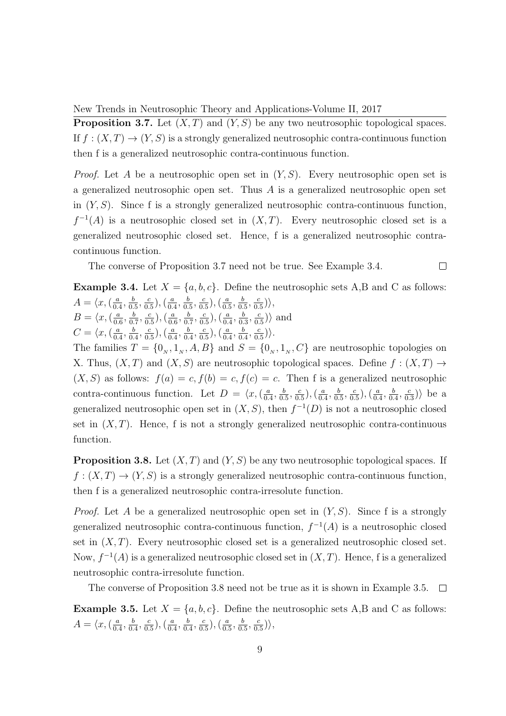**Proposition 3.7.** Let  $(X, T)$  and  $(Y, S)$  be any two neutrosophic topological spaces. If  $f : (X,T) \to (Y,S)$  is a strongly generalized neutrosophic contra-continuous function then f is a generalized neutrosophic contra-continuous function.

*Proof.* Let A be a neutrosophic open set in  $(Y, S)$ . Every neutrosophic open set is a generalized neutrosophic open set. Thus  $A$  is a generalized neutrosophic open set in  $(Y, S)$ . Since f is a strongly generalized neutrosophic contra-continuous function,  $f^{-1}(A)$  is a neutrosophic closed set in  $(X,T)$ . Every neutrosophic closed set is a generalized neutrosophic closed set. Hence, f is a generalized neutrosophic contracontinuous function.

The converse of Proposition 3.7 need not be true. See Example 3.4.  $\Box$ 

**Example 3.4.** Let  $X = \{a, b, c\}$ . Define the neutrosophic sets A,B and C as follows:  $A = \langle x, (\frac{a}{a}\rangle)$  $\frac{a}{0.4}, \frac{b}{0.}$  $\frac{b}{0.5}, \frac{c}{0.}$  $(\frac{c}{0.5}),(\frac{a}{0.5})$  $\frac{a}{0.4}, \frac{b}{0.}$  $\frac{b}{0.5}, \frac{c}{0.}$  $\frac{c}{0.5}$ ),  $\left(\frac{a}{0.5}\right)$  $\frac{a}{0.5}, \frac{b}{0.}$  $\frac{b}{0.5}, \frac{c}{0.}$  $\frac{c}{0.5})\rangle,$  $B = \langle x, (\frac{a}{0)}\rangle$  $\frac{a}{0.6}, \frac{b}{0.}$  $\frac{b}{0.7}, \frac{c}{0.}$  $\frac{c}{0.5}$ ),  $\left(\frac{a}{0.1}\right)$  $\frac{a}{0.6}, \frac{b}{0.}$  $\frac{b}{0.7}, \frac{c}{0.}$  $\frac{c}{0.5}$ ),  $\left(\frac{a}{0.5}\right)$  $\frac{a}{0.4}, \frac{b}{0.}$  $\frac{b}{0.3}, \frac{c}{0.}$  $\frac{c}{0.5}$  $\rangle$  and  $C = \langle x, \left( \frac{a}{0} \right) \rangle$  $\frac{a}{0.4}, \frac{b}{0.}$  $\frac{b}{0.4}, \frac{c}{0.}$  $\frac{c}{0.5}$ ),  $\left(\frac{a}{0.5}\right)$  $\frac{a}{0.4}, \frac{b}{0.}$  $\frac{b}{0.4}, \frac{c}{0.}$  $\frac{c}{0.5}$ ),  $\left(\frac{a}{0.5}\right)$  $\frac{a}{0.4}, \frac{b}{0.}$  $\frac{b}{0.4}, \frac{c}{0.}$  $\frac{c}{0.5})\rangle.$ 

The families  $T = \{0_N, 1_N, A, B\}$  and  $S = \{0_N, 1_N, C\}$  are neutrosophic topologies on X. Thus,  $(X, T)$  and  $(X, S)$  are neutrosophic topological spaces. Define  $f : (X, T) \rightarrow$  $(X, S)$  as follows:  $f(a) = c, f(b) = c, f(c) = c$ . Then f is a generalized neutrosophic contra-continuous function. Let  $D = \langle x, \langle \frac{a}{b} \rangle \rangle$  $\frac{a}{0.4}, \frac{b}{0.}$  $\frac{b}{0.5}, \frac{c}{0.}$  $(\frac{c}{0.5}),(\frac{a}{0.5})$  $\frac{a}{0.4}, \frac{b}{0.}$  $\frac{b}{0.5}, \frac{c}{0.}$  $\left(\frac{c}{0.5}\right), \left(\frac{a}{0.5}\right)$  $\frac{a}{0.4}, \frac{b}{0.}$  $\frac{b}{0.4}, \frac{c}{0.}$  $\frac{c}{0.3}$ ) be a generalized neutrosophic open set in  $(X, S)$ , then  $f^{-1}(D)$  is not a neutrosophic closed set in  $(X, T)$ . Hence, f is not a strongly generalized neutrosophic contra-continuous function.

**Proposition 3.8.** Let  $(X, T)$  and  $(Y, S)$  be any two neutrosophic topological spaces. If  $f: (X,T) \to (Y,S)$  is a strongly generalized neutrosophic contra-continuous function, then f is a generalized neutrosophic contra-irresolute function.

*Proof.* Let A be a generalized neutrosophic open set in  $(Y, S)$ . Since f is a strongly generalized neutrosophic contra-continuous function,  $f^{-1}(A)$  is a neutrosophic closed set in  $(X, T)$ . Every neutrosophic closed set is a generalized neutrosophic closed set. Now,  $f^{-1}(A)$  is a generalized neutrosophic closed set in  $(X, T)$ . Hence, f is a generalized neutrosophic contra-irresolute function.

The converse of Proposition 3.8 need not be true as it is shown in Example 3.5.  $\Box$ 

**Example 3.5.** Let  $X = \{a, b, c\}$ . Define the neutrosophic sets A,B and C as follows:  $A = \langle x, \left( \frac{a}{0} \right) \rangle$  $\frac{a}{0.4}, \frac{b}{0.}$  $\frac{b}{0.4}, \frac{c}{0.}$  $\frac{c}{0.5}$ ),  $\left(\frac{a}{0.5}\right)$  $\frac{a}{0.4}, \frac{b}{0.}$  $\frac{b}{0.4}, \frac{c}{0.}$  $\frac{c}{0.5}$ ),  $\left(\frac{a}{0.5}\right)$  $\frac{a}{0.5}, \frac{b}{0.}$  $\frac{b}{0.5}, \frac{c}{0.}$  $\frac{c}{0.5})\rangle,$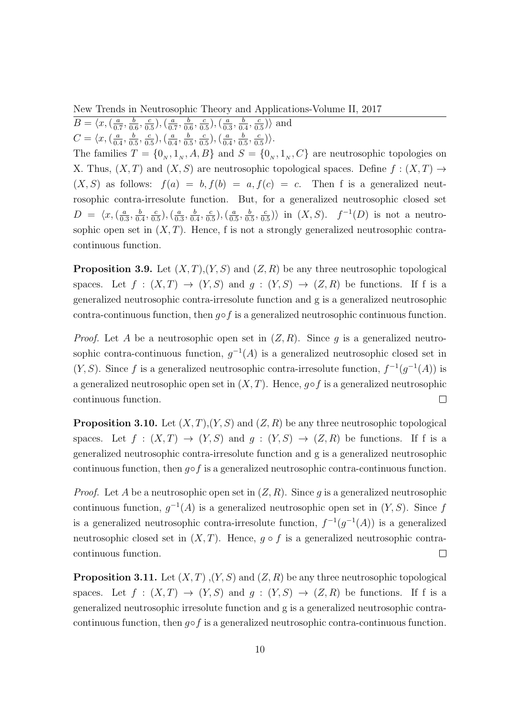$B = \langle x, (\frac{a}{a}) \rangle$  $\frac{a}{0.7}, \frac{b}{0.}$  $\frac{b}{0.6}, \frac{c}{0.}$  $\frac{c}{0.5}$ ),  $\left(\frac{a}{0.5}\right)$  $\frac{a}{0.7}, \frac{b}{0.}$  $\frac{b}{0.6}, \frac{c}{0.}$  $\frac{c}{0.5}$ ),  $\left(\frac{a}{0.5}\right)$  $\frac{a}{0.3}, \frac{b}{0.}$  $\frac{b}{0.4}, \frac{c}{0.}$  $\frac{c}{0.5}$  $\rangle$  and  $C = \langle x, \left( \frac{a}{a} \right) \rangle$  $\frac{a}{0.4}, \frac{b}{0.}$  $\frac{b}{0.5}, \frac{c}{0.5}$  $\frac{c}{0.5}$ ),  $\left(\frac{a}{0.5}\right)$  $\frac{a}{0.4}, \frac{b}{0.}$  $\frac{b}{0.5}, \frac{c}{0.}$  $\frac{c}{0.5}$ ),  $\left(\frac{a}{0.5}\right)$  $\frac{a}{0.4}, \frac{b}{0.}$  $\frac{b}{0.5}, \frac{c}{0.}$  $\frac{c}{0.5})\rangle.$ 

The families  $T = \{0_N, 1_N, A, B\}$  and  $S = \{0_N, 1_N, C\}$  are neutrosophic topologies on X. Thus,  $(X, T)$  and  $(X, S)$  are neutrosophic topological spaces. Define  $f : (X, T) \rightarrow$  $(X, S)$  as follows:  $f(a) = b, f(b) = a, f(c) = c$ . Then f is a generalized neutrosophic contra-irresolute function. But, for a generalized neutrosophic closed set  $D = \langle x, (\frac{a}{a}) \rangle$  $\frac{a}{0.3}, \frac{b}{0.}$  $\frac{b}{0.4}, \frac{c}{0.}$  $\frac{c}{0.5}$ ),  $\left(\frac{a}{0.5}\right)$  $\frac{a}{0.3}, \frac{b}{0.}$  $\frac{b}{0.4}, \frac{c}{0.}$  $\left(\frac{c}{0.5}\right), \left(\frac{a}{0.5}\right)$  $\frac{a}{0.5}, \frac{b}{0.}$  $\frac{b}{0.5}, \frac{c}{0.}$  $\frac{c}{0.5}$ ) in  $(X, S)$ .  $f^{-1}(D)$  is not a neutrosophic open set in  $(X, T)$ . Hence, f is not a strongly generalized neutrosophic contracontinuous function.

**Proposition 3.9.** Let  $(X, T), (Y, S)$  and  $(Z, R)$  be any three neutrosophic topological spaces. Let  $f : (X,T) \to (Y,S)$  and  $g : (Y,S) \to (Z,R)$  be functions. If f is a generalized neutrosophic contra-irresolute function and g is a generalized neutrosophic contra-continuous function, then  $q \circ f$  is a generalized neutrosophic continuous function.

*Proof.* Let A be a neutrosophic open set in  $(Z, R)$ . Since g is a generalized neutrosophic contra-continuous function,  $g^{-1}(A)$  is a generalized neutrosophic closed set in  $(Y, S)$ . Since f is a generalized neutrosophic contra-irresolute function,  $f^{-1}(g^{-1}(A))$  is a generalized neutrosophic open set in  $(X, T)$ . Hence,  $g \circ f$  is a generalized neutrosophic continuous function.  $\Box$ 

**Proposition 3.10.** Let  $(X, T), (Y, S)$  and  $(Z, R)$  be any three neutrosophic topological spaces. Let  $f : (X,T) \to (Y,S)$  and  $g : (Y,S) \to (Z,R)$  be functions. If f is a generalized neutrosophic contra-irresolute function and g is a generalized neutrosophic continuous function, then  $q \circ f$  is a generalized neutrosophic contra-continuous function.

*Proof.* Let A be a neutrosophic open set in  $(Z, R)$ . Since g is a generalized neutrosophic continuous function,  $g^{-1}(A)$  is a generalized neutrosophic open set in  $(Y, S)$ . Since f is a generalized neutrosophic contra-irresolute function,  $f^{-1}(g^{-1}(A))$  is a generalized neutrosophic closed set in  $(X, T)$ . Hence,  $q \circ f$  is a generalized neutrosophic contracontinuous function.  $\Box$ 

**Proposition 3.11.** Let  $(X, T)$ ,  $(Y, S)$  and  $(Z, R)$  be any three neutrosophic topological spaces. Let  $f : (X,T) \to (Y,S)$  and  $g : (Y,S) \to (Z,R)$  be functions. If f is a generalized neutrosophic irresolute function and g is a generalized neutrosophic contracontinuous function, then  $q \circ f$  is a generalized neutrosophic contra-continuous function.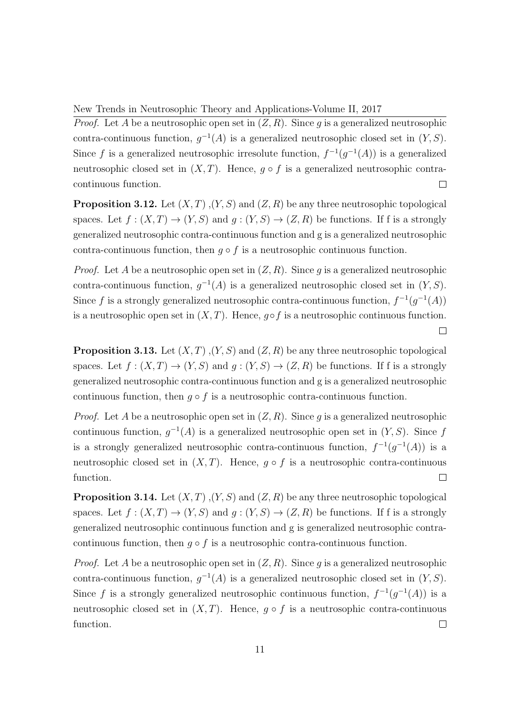*Proof.* Let A be a neutrosophic open set in  $(Z, R)$ . Since g is a generalized neutrosophic contra-continuous function,  $g^{-1}(A)$  is a generalized neutrosophic closed set in  $(Y, S)$ . Since f is a generalized neutrosophic irresolute function,  $f^{-1}(g^{-1}(A))$  is a generalized neutrosophic closed set in  $(X, T)$ . Hence,  $q \circ f$  is a generalized neutrosophic contracontinuous function.  $\Box$ 

**Proposition 3.12.** Let  $(X, T), (Y, S)$  and  $(Z, R)$  be any three neutrosophic topological spaces. Let  $f:(X,T) \to (Y,S)$  and  $q:(Y,S) \to (Z,R)$  be functions. If f is a strongly generalized neutrosophic contra-continuous function and g is a generalized neutrosophic contra-continuous function, then  $q \circ f$  is a neutrosophic continuous function.

*Proof.* Let A be a neutrosophic open set in  $(Z, R)$ . Since q is a generalized neutrosophic contra-continuous function,  $g^{-1}(A)$  is a generalized neutrosophic closed set in  $(Y, S)$ . Since f is a strongly generalized neutrosophic contra-continuous function,  $f^{-1}(g^{-1}(A))$ is a neutrosophic open set in  $(X, T)$ . Hence,  $g \circ f$  is a neutrosophic continuous function.  $\Box$ 

**Proposition 3.13.** Let  $(X, T)$ ,  $(Y, S)$  and  $(Z, R)$  be any three neutrosophic topological spaces. Let  $f:(X,T) \to (Y,S)$  and  $g:(Y,S) \to (Z,R)$  be functions. If f is a strongly generalized neutrosophic contra-continuous function and g is a generalized neutrosophic continuous function, then  $q \circ f$  is a neutrosophic contra-continuous function.

*Proof.* Let A be a neutrosophic open set in  $(Z, R)$ . Since q is a generalized neutrosophic continuous function,  $g^{-1}(A)$  is a generalized neutrosophic open set in  $(Y, S)$ . Since f is a strongly generalized neutrosophic contra-continuous function,  $f^{-1}(g^{-1}(A))$  is a neutrosophic closed set in  $(X, T)$ . Hence,  $q \circ f$  is a neutrosophic contra-continuous function.  $\Box$ 

**Proposition 3.14.** Let  $(X, T)$ ,  $(Y, S)$  and  $(Z, R)$  be any three neutrosophic topological spaces. Let  $f:(X,T) \to (Y,S)$  and  $g:(Y,S) \to (Z,R)$  be functions. If f is a strongly generalized neutrosophic continuous function and g is generalized neutrosophic contracontinuous function, then  $g \circ f$  is a neutrosophic contra-continuous function.

*Proof.* Let A be a neutrosophic open set in  $(Z, R)$ . Since q is a generalized neutrosophic contra-continuous function,  $g^{-1}(A)$  is a generalized neutrosophic closed set in  $(Y, S)$ . Since f is a strongly generalized neutrosophic continuous function,  $f^{-1}(g^{-1}(A))$  is a neutrosophic closed set in  $(X, T)$ . Hence,  $q \circ f$  is a neutrosophic contra-continuous function.  $\Box$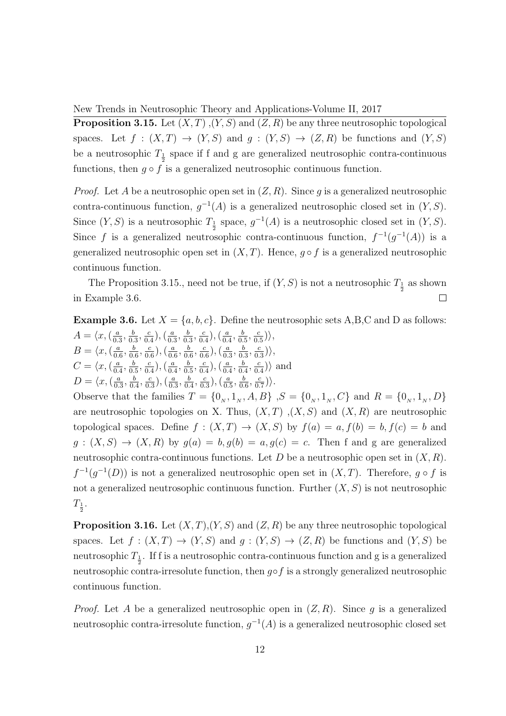**Proposition 3.15.** Let  $(X, T), (Y, S)$  and  $(Z, R)$  be any three neutrosophic topological spaces. Let  $f : (X,T) \to (Y,S)$  and  $g : (Y,S) \to (Z,R)$  be functions and  $(Y,S)$ be a neutrosophic  $T_{\frac{1}{2}}$  space if f and g are generalized neutrosophic contra-continuous functions, then  $g \circ f$  is a generalized neutrosophic continuous function.

*Proof.* Let A be a neutrosophic open set in  $(Z, R)$ . Since q is a generalized neutrosophic contra-continuous function,  $g^{-1}(A)$  is a generalized neutrosophic closed set in  $(Y, S)$ . Since  $(Y, S)$  is a neutrosophic  $T_{\frac{1}{2}}$  space,  $g^{-1}(A)$  is a neutrosophic closed set in  $(Y, S)$ . Since f is a generalized neutrosophic contra-continuous function,  $f^{-1}(g^{-1}(A))$  is a generalized neutrosophic open set in  $(X, T)$ . Hence,  $q \circ f$  is a generalized neutrosophic continuous function.

The Proposition 3.15., need not be true, if  $(Y, S)$  is not a neutrosophic  $T_{\frac{1}{2}}$  as shown in Example 3.6.  $\Box$ 

**Example 3.6.** Let  $X = \{a, b, c\}$ . Define the neutrosophic sets A,B,C and D as follows:  $A = \langle x, \left( \frac{a}{0} \right) \rangle$  $\frac{a}{0.3}, \frac{b}{0.}$  $\frac{b}{0.3}, \frac{c}{0.}$  $\frac{c}{0.4}$ ),  $\left(\frac{a}{0.4}\right)$  $\frac{a}{0.3}, \frac{b}{0.}$  $\frac{b}{0.3}, \frac{c}{0.}$  $\frac{c}{0.4}$ ),  $\left(\frac{a}{0.4}\right)$  $\frac{a}{0.4}, \frac{b}{0.}$  $\frac{b}{0.5}, \frac{c}{0.}$  $\frac{c}{0.5})\rangle,$  $B = \langle x, (\frac{a}{a}) \rangle$  $\frac{a}{0.6}, \frac{b}{0.}$  $\frac{b}{0.6}, \frac{c}{0.}$  $(\frac{c}{0.6}),(\frac{a}{0.6})$  $\frac{a}{0.6}, \frac{b}{0.}$  $\frac{b}{0.6}, \frac{c}{0.}$  $(\frac{c}{0.6}),(\frac{a}{0.5})$  $\frac{a}{0.3}, \frac{b}{0.}$  $\frac{b}{0.3}, \frac{c}{0.}$  $\frac{c}{0.3})\rangle,$  $C = \langle x, (\frac{a}{a}\rangle)$  $\frac{a}{0.4}, \frac{b}{0.}$  $\frac{b}{0.5}, \frac{c}{0.5}$  $\frac{c}{0.4}$ ),  $\left(\frac{a}{0.4}\right)$  $\frac{a}{0.4}, \frac{b}{0.}$  $\frac{b}{0.5}, \frac{c}{0.}$  $\frac{c}{0.4}$ ),  $\left(\frac{a}{0.4}\right)$  $\frac{a}{0.4}, \frac{b}{0.}$  $\frac{b}{0.4}, \frac{c}{0.}$  $\frac{c}{0.4}$  $\rangle$  and  $D = \langle x, (\frac{a}{0} \rangle)$  $\frac{a}{0.3}, \frac{b}{0.5}$  $\frac{b}{0.4}, \frac{c}{0.}$  $\left(\frac{c}{0.3}\right), \left(\frac{a}{0.3}\right)$  $\frac{a}{0.3}, \frac{b}{0.}$  $\frac{b}{0.4}, \frac{c}{0.}$  $\left(\frac{c}{0.3}\right), \left(\frac{a}{0.3}\right)$  $\frac{a}{0.5}, \frac{b}{0.}$  $\frac{b}{0.6}, \frac{c}{0.}$  $\frac{c}{0.7})\rangle.$ 

Observe that the families  $T = \{0_N, 1_N, A, B\}$ ,  $S = \{0_N, 1_N, C\}$  and  $R = \{0_N, 1_N, D\}$ are neutrosophic topologies on X. Thus,  $(X, T)$ ,  $(X, S)$  and  $(X, R)$  are neutrosophic topological spaces. Define  $f : (X,T) \to (X,S)$  by  $f(a) = a, f(b) = b, f(c) = b$  and  $g:(X, S) \to (X, R)$  by  $g(a) = b, g(b) = a, g(c) = c$ . Then f and g are generalized neutrosophic contra-continuous functions. Let D be a neutrosophic open set in  $(X, R)$ .  $f^{-1}(g^{-1}(D))$  is not a generalized neutrosophic open set in  $(X,T)$ . Therefore,  $g \circ f$  is not a generalized neutrosophic continuous function. Further  $(X, S)$  is not neutrosophic  $T_{\frac{1}{2}}$ .

**Proposition 3.16.** Let  $(X, T), (Y, S)$  and  $(Z, R)$  be any three neutrosophic topological spaces. Let  $f:(X,T)\to (Y,S)$  and  $g:(Y,S)\to (Z,R)$  be functions and  $(Y,S)$  be neutrosophic  $T_{\frac{1}{2}}$ . If f is a neutrosophic contra-continuous function and g is a generalized neutrosophic contra-irresolute function, then  $g \circ f$  is a strongly generalized neutrosophic continuous function.

*Proof.* Let A be a generalized neutrosophic open in  $(Z, R)$ . Since q is a generalized neutrosophic contra-irresolute function,  $g^{-1}(A)$  is a generalized neutrosophic closed set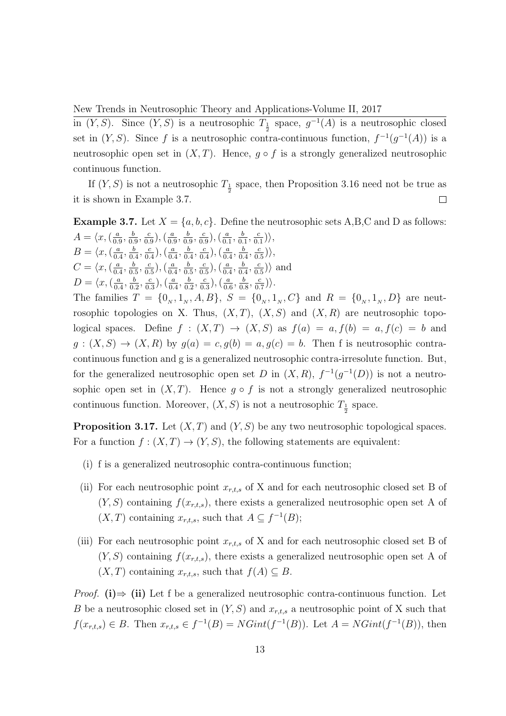in  $(Y, S)$ . Since  $(Y, S)$  is a neutrosophic  $T_{\frac{1}{2}}$  space,  $g^{-1}(A)$  is a neutrosophic closed set in  $(Y, S)$ . Since f is a neutrosophic contra-continuous function,  $f^{-1}(g^{-1}(A))$  is a neutrosophic open set in  $(X, T)$ . Hence,  $q \circ f$  is a strongly generalized neutrosophic continuous function.

If  $(Y, S)$  is not a neutrosophic  $T_{\frac{1}{2}}$  space, then Proposition 3.16 need not be true as it is shown in Example 3.7.  $\Box$ 

**Example 3.7.** Let  $X = \{a, b, c\}$ . Define the neutrosophic sets A,B,C and D as follows:  $A = \langle x, \left( \frac{a}{0} \right) \rangle$  $\frac{a}{0.9}, \frac{b}{0.}$  $\frac{b}{0.9}, \frac{c}{0.}$  $(\frac{c}{0.9})$ ,  $(\frac{a}{0.9})$  $\frac{a}{0.9}, \frac{b}{0.}$  $\frac{b}{0.9}, \frac{c}{0.}$  $\frac{c}{0.9}$ ),  $\left(\frac{a}{0.} \right)$  $\frac{a}{0.1}, \frac{b}{0.}$  $\frac{b}{0.1}, \frac{c}{0.}$  $\frac{c}{0.1})\rangle,$  $B = \langle x, (\frac{a}{a})\rangle$  $\frac{a}{0.4}, \frac{b}{0.}$  $\frac{b}{0.4}, \frac{c}{0.}$  $(\frac{c}{0.4}),(\frac{a}{0.4})$  $\frac{a}{0.4}, \frac{b}{0.}$  $\frac{b}{0.4}, \frac{c}{0.}$  $\frac{c}{0.4}$ ),  $\left(\frac{a}{0.4}\right)$  $\frac{a}{0.4}, \frac{b}{0.}$  $\frac{b}{0.4}, \frac{c}{0.}$  $\frac{c}{0.5})\rangle,$  $C = \langle x, (\frac{a}{a}) \rangle$  $\frac{a}{0.4}, \frac{b}{0.}$  $\frac{b}{0.5}, \frac{c}{0.}$  $\frac{c}{0.5}$ ),  $\left(\frac{a}{0.5}\right)$  $\frac{a}{0.4}, \frac{b}{0.}$  $\frac{b}{0.5}, \frac{c}{0.}$  $\frac{c}{0.5}$ ),  $\left(\frac{a}{0.5}\right)$  $\frac{a}{0.4}, \frac{b}{0.}$  $\frac{b}{0.4}, \frac{c}{0.}$  $\frac{c}{0.5}$  $\rangle$  and  $D = \langle x, (\frac{a}{a}\rangle)$  $\frac{a}{0.4}, \frac{b}{0.5}$  $\frac{b}{0.2}, \frac{c}{0.}$  $\frac{c}{0.3}$ ),  $\left(\frac{a}{0.5}\right)$  $\frac{a}{0.4}, \frac{b}{0.}$  $\frac{b}{0.2}, \frac{c}{0.}$  $\frac{c}{0.3}$ ),  $\left(\frac{a}{0.1}\right)$  $\frac{a}{0.6}, \frac{b}{0.}$  $\frac{b}{0.8}, \frac{c}{0.}$  $\frac{c}{0.7})\rangle.$ The families  $T = \{0_N, 1_N, A, B\}, S = \{0_N, 1_N, C\}$  and  $R = \{0_N, 1_N, D\}$  are neutrosophic topologies on X. Thus,  $(X, T)$ ,  $(X, S)$  and  $(X, R)$  are neutrosophic topological spaces. Define  $f : (X,T) \to (X,S)$  as  $f(a) = a, f(b) = a, f(c) = b$  and  $g:(X, S) \to (X, R)$  by  $g(a) = c, g(b) = a, g(c) = b$ . Then f is neutrosophic contracontinuous function and g is a generalized neutrosophic contra-irresolute function. But, for the generalized neutrosophic open set D in  $(X, R)$ ,  $f^{-1}(g^{-1}(D))$  is not a neutrosophic open set in  $(X, T)$ . Hence  $g \circ f$  is not a strongly generalized neutrosophic continuous function. Moreover,  $(X, S)$  is not a neutrosophic  $T_{\frac{1}{2}}$  space.

**Proposition 3.17.** Let  $(X, T)$  and  $(Y, S)$  be any two neutrosophic topological spaces. For a function  $f:(X,T) \to (Y,S)$ , the following statements are equivalent:

- (i) f is a generalized neutrosophic contra-continuous function;
- (ii) For each neutrosophic point  $x_{r,t,s}$  of X and for each neutrosophic closed set B of  $(Y, S)$  containing  $f(x_{r,t,s})$ , there exists a generalized neutrosophic open set A of  $(X, T)$  containing  $x_{r,t,s}$ , such that  $A \subseteq f^{-1}(B)$ ;
- (iii) For each neutrosophic point  $x_{r,t,s}$  of X and for each neutrosophic closed set B of  $(Y, S)$  containing  $f(x_{r,t,s})$ , there exists a generalized neutrosophic open set A of  $(X, T)$  containing  $x_{r,t,s}$ , such that  $f(A) \subseteq B$ .

*Proof.* (i)  $\Rightarrow$  (ii) Let f be a generalized neutrosophic contra-continuous function. Let B be a neutrosophic closed set in  $(Y, S)$  and  $x_{r,t,s}$  a neutrosophic point of X such that  $f(x_{r,t,s}) \in B$ . Then  $x_{r,t,s} \in f^{-1}(B) = NGint(f^{-1}(B))$ . Let  $A = NGint(f^{-1}(B))$ , then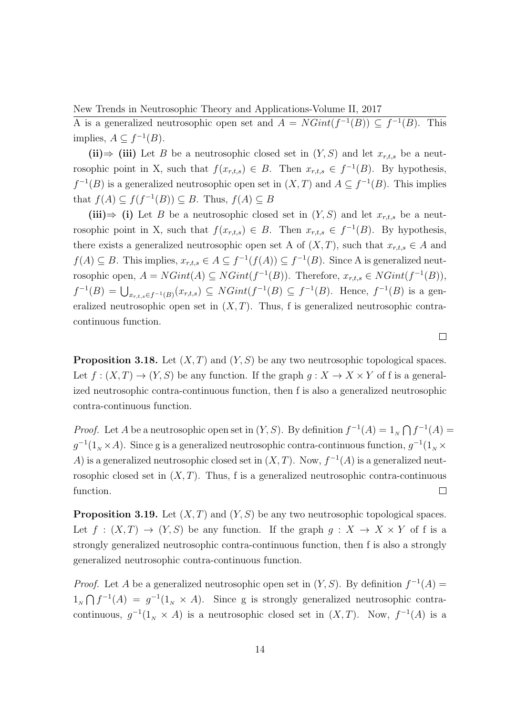New Trends in Neutrosophic Theory and Applications-Volume II, 2017 A is a generalized neutrosophic open set and  $A = NGint(f^{-1}(B)) \subseteq f^{-1}(B)$ . This implies,  $A \subseteq f^{-1}(B)$ .

(ii)  $\Rightarrow$  (iii) Let B be a neutrosophic closed set in  $(Y, S)$  and let  $x_{r,t,s}$  be a neutrosophic point in X, such that  $f(x_{r,t,s}) \in B$ . Then  $x_{r,t,s} \in f^{-1}(B)$ . By hypothesis,  $f^{-1}(B)$  is a generalized neutrosophic open set in  $(X,T)$  and  $A \subseteq f^{-1}(B)$ . This implies that  $f(A) \subseteq f(f^{-1}(B)) \subseteq B$ . Thus,  $f(A) \subseteq B$ 

(iii)  $\Rightarrow$  (i) Let B be a neutrosophic closed set in  $(Y, S)$  and let  $x_{r,t,s}$  be a neutrosophic point in X, such that  $f(x_{r,t,s}) \in B$ . Then  $x_{r,t,s} \in f^{-1}(B)$ . By hypothesis, there exists a generalized neutrosophic open set A of  $(X, T)$ , such that  $x_{r,t,s} \in A$  and  $f(A) \subseteq B$ . This implies,  $x_{r,t,s} \in A \subseteq f^{-1}(f(A)) \subseteq f^{-1}(B)$ . Since A is generalized neutrosophic open,  $A = NGint(A) \subseteq NGint(f^{-1}(B))$ . Therefore,  $x_{r,t,s} \in NGint(f^{-1}(B))$ ,  $f^{-1}(B) = \bigcup_{x_{r,t,s} \in f^{-1}(B)} (x_{r,t,s}) \subseteq NGint(f^{-1}(B) \subseteq f^{-1}(B)$ . Hence,  $f^{-1}(B)$  is a generalized neutrosophic open set in  $(X, T)$ . Thus, f is generalized neutrosophic contracontinuous function.

**Proposition 3.18.** Let  $(X, T)$  and  $(Y, S)$  be any two neutrosophic topological spaces. Let  $f : (X,T) \to (Y,S)$  be any function. If the graph  $g : X \to X \times Y$  of f is a generalized neutrosophic contra-continuous function, then f is also a generalized neutrosophic contra-continuous function.

*Proof.* Let A be a neutrosophic open set in  $(Y, S)$ . By definition  $f^{-1}(A) = 1_N \bigcap f^{-1}(A)$  $g^{-1}(1_{N} \times A)$ . Since g is a generalized neutrosophic contra-continuous function,  $g^{-1}(1_{N} \times A)$ A) is a generalized neutrosophic closed set in  $(X, T)$ . Now,  $f^{-1}(A)$  is a generalized neutrosophic closed set in  $(X, T)$ . Thus, f is a generalized neutrosophic contra-continuous function.  $\Box$ 

**Proposition 3.19.** Let  $(X, T)$  and  $(Y, S)$  be any two neutrosophic topological spaces. Let  $f : (X,T) \to (Y,S)$  be any function. If the graph  $g : X \to X \times Y$  of f is a strongly generalized neutrosophic contra-continuous function, then f is also a strongly generalized neutrosophic contra-continuous function.

*Proof.* Let A be a generalized neutrosophic open set in  $(Y, S)$ . By definition  $f^{-1}(A)$  =  $1_{N} \bigcap f^{-1}(A) = g^{-1}(1_{N} \times A)$ . Since g is strongly generalized neutrosophic contracontinuous,  $g^{-1}(1_{N} \times A)$  is a neutrosophic closed set in  $(X, T)$ . Now,  $f^{-1}(A)$  is a

 $\Box$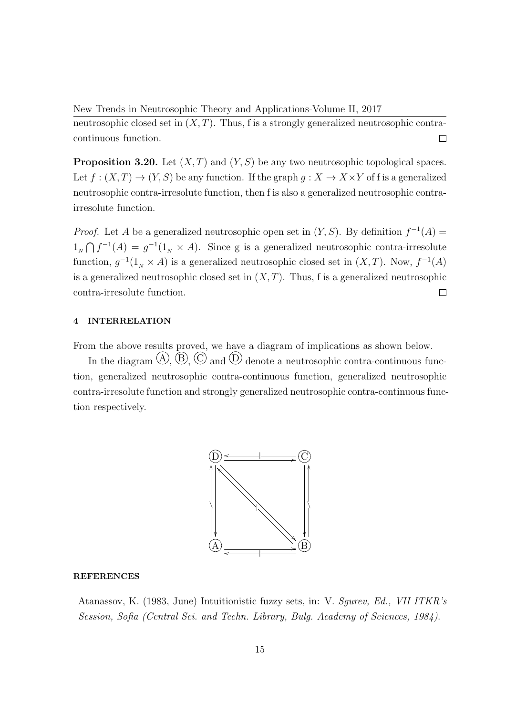New Trends in Neutrosophic Theory and Applications-Volume II, 2017 neutrosophic closed set in  $(X, T)$ . Thus, f is a strongly generalized neutrosophic contracontinuous function.  $\Box$ 

**Proposition 3.20.** Let  $(X, T)$  and  $(Y, S)$  be any two neutrosophic topological spaces. Let  $f: (X,T) \to (Y,S)$  be any function. If the graph  $g: X \to X \times Y$  of f is a generalized neutrosophic contra-irresolute function, then f is also a generalized neutrosophic contrairresolute function.

*Proof.* Let A be a generalized neutrosophic open set in  $(Y, S)$ . By definition  $f^{-1}(A)$  =  $1_{N} \bigcap f^{-1}(A) = g^{-1}(1_{N} \times A)$ . Since g is a generalized neutrosophic contra-irresolute function,  $g^{-1}(1_{N} \times A)$  is a generalized neutrosophic closed set in  $(X, T)$ . Now,  $f^{-1}(A)$ is a generalized neutrosophic closed set in  $(X, T)$ . Thus, f is a generalized neutrosophic contra-irresolute function.  $\Box$ 

### 4 INTERRELATION

From the above results proved, we have a diagram of implications as shown below.

In the diagram  $(A, B, C)$  and  $(D)$  denote a neutrosophic contra-continuous function, generalized neutrosophic contra-continuous function, generalized neutrosophic contra-irresolute function and strongly generalized neutrosophic contra-continuous function respectively.



#### **REFERENCES**

Atanassov, K. (1983, June) Intuitionistic fuzzy sets, in: V. Sgurev, Ed., VII ITKR's Session, Sofia (Central Sci. and Techn. Library, Bulg. Academy of Sciences, 1984).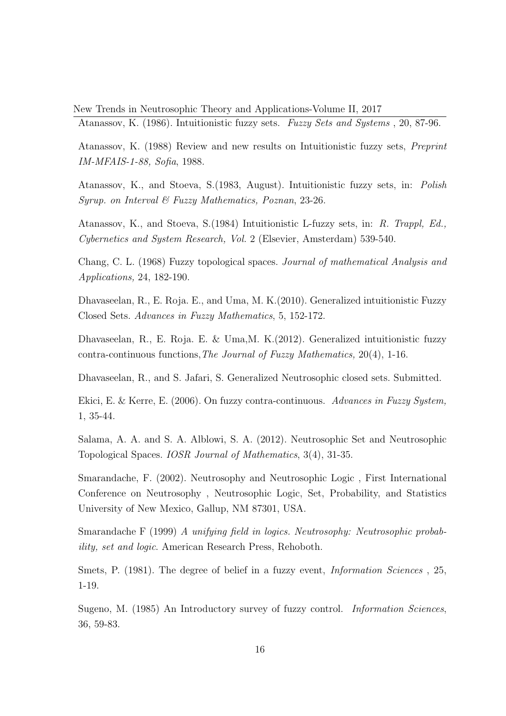Atanassov, K. (1986). Intuitionistic fuzzy sets. Fuzzy Sets and Systems , 20, 87-96.

Atanassov, K. (1988) Review and new results on Intuitionistic fuzzy sets, Preprint IM-MFAIS-1-88, Sofia, 1988.

Atanassov, K., and Stoeva, S.(1983, August). Intuitionistic fuzzy sets, in: Polish Syrup. on Interval  $\mathcal B$  Fuzzy Mathematics, Poznan, 23-26.

Atanassov, K., and Stoeva, S.(1984) Intuitionistic L-fuzzy sets, in: R. Trappl, Ed., Cybernetics and System Research, Vol. 2 (Elsevier, Amsterdam) 539-540.

Chang, C. L. (1968) Fuzzy topological spaces. Journal of mathematical Analysis and Applications, 24, 182-190.

Dhavaseelan, R., E. Roja. E., and Uma, M. K.(2010). Generalized intuitionistic Fuzzy Closed Sets. Advances in Fuzzy Mathematics, 5, 152-172.

Dhavaseelan, R., E. Roja. E. & Uma,M. K.(2012). Generalized intuitionistic fuzzy contra-continuous functions, The Journal of Fuzzy Mathematics,  $20(4)$ , 1-16.

Dhavaseelan, R., and S. Jafari, S. Generalized Neutrosophic closed sets. Submitted.

Ekici, E. & Kerre, E. (2006). On fuzzy contra-continuous. Advances in Fuzzy System, 1, 35-44.

Salama, A. A. and S. A. Alblowi, S. A. (2012). Neutrosophic Set and Neutrosophic Topological Spaces. IOSR Journal of Mathematics, 3(4), 31-35.

Smarandache, F. (2002). Neutrosophy and Neutrosophic Logic , First International Conference on Neutrosophy , Neutrosophic Logic, Set, Probability, and Statistics University of New Mexico, Gallup, NM 87301, USA.

Smarandache F (1999) A unifying field in logics. Neutrosophy: Neutrosophic probability, set and logic. American Research Press, Rehoboth.

Smets, P. (1981). The degree of belief in a fuzzy event, *Information Sciences*, 25, 1-19.

Sugeno, M. (1985) An Introductory survey of fuzzy control. Information Sciences, 36, 59-83.